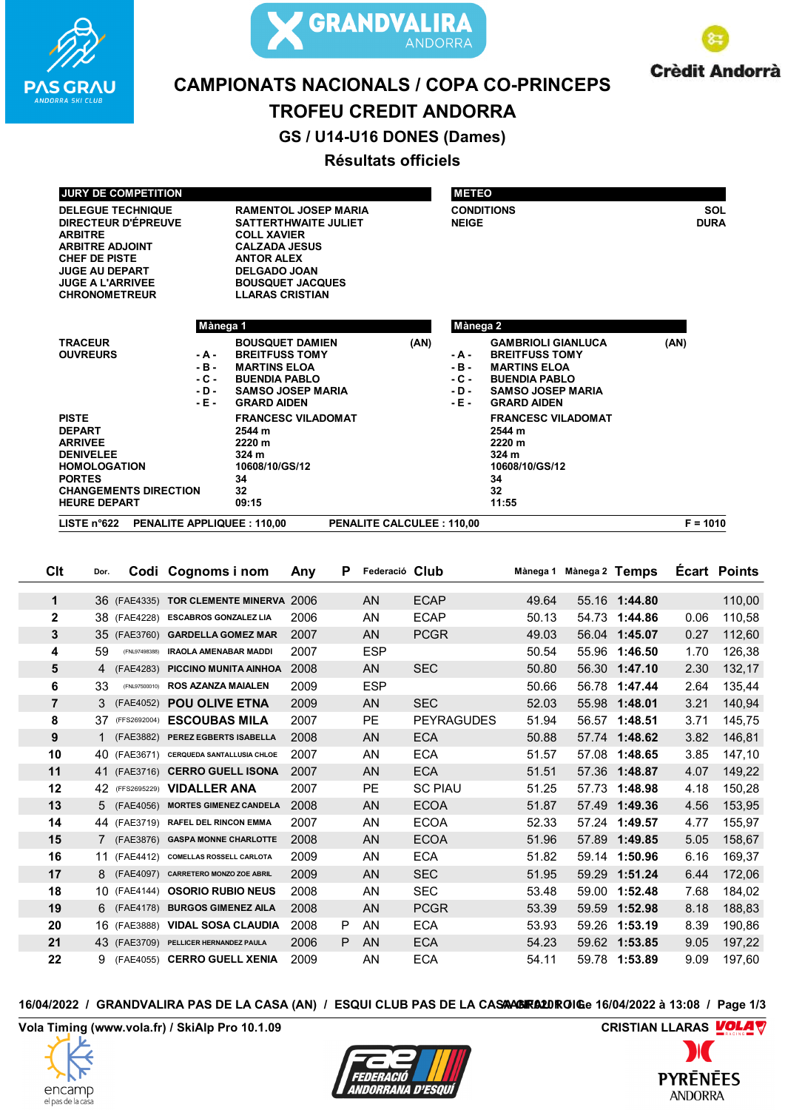



**Crèdit Andorrà** 

# **CAMPIONATS NACIONALS / COPA CO-PRINCEPS**

# **TROFEU CREDIT ANDORRA**

GS / U14-U16 DONES (Dames)

## Résultats officiels

| <b>JURY DE COMPETITION</b>                                                                                                                                                                             |                                                                                                                                                                                                 |                                  | <b>METEO</b>                                  |                                                                                                                                                     |            |
|--------------------------------------------------------------------------------------------------------------------------------------------------------------------------------------------------------|-------------------------------------------------------------------------------------------------------------------------------------------------------------------------------------------------|----------------------------------|-----------------------------------------------|-----------------------------------------------------------------------------------------------------------------------------------------------------|------------|
| <b>DELEGUE TECHNIQUE</b><br><b>DIRECTEUR D'ÉPREUVE</b><br><b>ARBITRE</b><br><b>ARBITRE ADJOINT</b><br><b>CHEF DE PISTE</b><br><b>JUGE AU DEPART</b><br><b>JUGE A L'ARRIVEE</b><br><b>CHRONOMETREUR</b> | <b>RAMENTOL JOSEP MARIA</b><br><b>SATTERTHWAITE JULIET</b><br><b>BOUSQUET JACQUES</b><br><b>LLARAS CRISTIAN</b>                                                                                 | <b>NEIGE</b>                     | <b>CONDITIONS</b>                             | <b>SOL</b><br><b>DURA</b>                                                                                                                           |            |
|                                                                                                                                                                                                        | Mànega 1                                                                                                                                                                                        |                                  | Mànega 2                                      |                                                                                                                                                     |            |
| <b>TRACEUR</b><br><b>OUVREURS</b>                                                                                                                                                                      | <b>BOUSQUET DAMIEN</b><br><b>BREITFUSS TOMY</b><br>- A -<br><b>MARTINS ELOA</b><br>$-B -$<br>$-C -$<br><b>BUENDIA PABLO</b><br><b>SAMSO JOSEP MARIA</b><br>$-D-$<br><b>GRARD AIDEN</b><br>- E - | (AN)                             | - A -<br>$-B -$<br>$-C -$<br>$-D -$<br>$-E -$ | <b>GAMBRIOLI GIANLUCA</b><br><b>BREITFUSS TOMY</b><br><b>MARTINS ELOA</b><br><b>BUENDIA PABLO</b><br><b>SAMSO JOSEP MARIA</b><br><b>GRARD AIDEN</b> | (AN)       |
| <b>PISTE</b><br><b>DEPART</b><br><b>ARRIVEE</b><br><b>DENIVELEE</b><br><b>HOMOLOGATION</b><br><b>PORTES</b><br><b>CHANGEMENTS DIRECTION</b><br><b>HEURE DEPART</b>                                     | <b>FRANCESC VILADOMAT</b><br>2544 m<br>2220 m<br>324 <sub>m</sub><br>10608/10/GS/12<br>34<br>32<br>09:15                                                                                        |                                  |                                               | <b>FRANCESC VILADOMAT</b><br>2544 m<br>2220 m<br>324 <sub>m</sub><br>10608/10/GS/12<br>34<br>32<br>11:55                                            |            |
| LISTE $n°622$                                                                                                                                                                                          | <b>PENALITE APPLIQUEE: 110.00</b>                                                                                                                                                               | <b>PENALITE CALCULEE: 110,00</b> |                                               |                                                                                                                                                     | $F = 1010$ |

| Clt            | Dor.           |               | Codi Cognoms i nom                      | Any  | P | Federació Club |                   | Mànega 1 | Mànega 2 Temps |               |      | Ecart Points |
|----------------|----------------|---------------|-----------------------------------------|------|---|----------------|-------------------|----------|----------------|---------------|------|--------------|
| 1              |                | 36 (FAE4335)  | TOR CLEMENTE MINERVA 2006               |      |   | AN             | <b>ECAP</b>       | 49.64    |                | 55.16 1:44.80 |      | 110,00       |
| $\mathbf 2$    |                | 38 (FAE4228)  | <b>ESCABROS GONZALEZ LIA</b>            | 2006 |   | AN             | <b>ECAP</b>       | 50.13    | 54.73          | 1:44.86       | 0.06 | 110,58       |
|                |                |               |                                         |      |   |                |                   |          |                |               |      |              |
| 3              |                |               | 35 (FAE3760) GARDELLA GOMEZ MAR         | 2007 |   | <b>AN</b>      | <b>PCGR</b>       | 49.03    |                | 56.04 1:45.07 | 0.27 | 112,60       |
| 4              | 59             | (FNL97498388) | <b>IRAOLA AMENABAR MADDI</b>            | 2007 |   | <b>ESP</b>     |                   | 50.54    |                | 55.96 1:46.50 | 1.70 | 126,38       |
| 5              | $\overline{4}$ | (FAE4283)     | PICCINO MUNITA AINHOA                   | 2008 |   | AN             | <b>SEC</b>        | 50.80    |                | 56.30 1:47.10 | 2.30 | 132,17       |
| 6              | 33             | (FNL97500010) | <b>ROS AZANZA MAIALEN</b>               | 2009 |   | <b>ESP</b>     |                   | 50.66    | 56.78          | 1:47.44       | 2.64 | 135,44       |
| $\overline{7}$ | $\mathbf{3}$   | (FAE4052)     | <b>POU OLIVE ETNA</b>                   | 2009 |   | AN             | <b>SEC</b>        | 52.03    |                | 55.98 1:48.01 | 3.21 | 140,94       |
| 8              | 37             | (FFS2692004)  | <b>ESCOUBAS MILA</b>                    | 2007 |   | PE             | <b>PEYRAGUDES</b> | 51.94    |                | 56.57 1:48.51 | 3.71 | 145,75       |
| 9              |                | (FAE3882)     | PEREZ EGBERTS ISABELLA                  | 2008 |   | <b>AN</b>      | <b>ECA</b>        | 50.88    |                | 57.74 1:48.62 | 3.82 | 146,81       |
| 10             |                |               | 40 (FAE3671) CERQUEDA SANTALLUSIA CHLOE | 2007 |   | AN             | <b>ECA</b>        | 51.57    | 57.08          | 1:48.65       | 3.85 | 147,10       |
| 11             |                |               | 41 (FAE3716) CERRO GUELL ISONA          | 2007 |   | <b>AN</b>      | <b>ECA</b>        | 51.51    |                | 57.36 1:48.87 | 4.07 | 149,22       |
| 12             |                |               | 42 (FFS2695229) VIDALLER ANA            | 2007 |   | PE             | <b>SC PIAU</b>    | 51.25    |                | 57.73 1:48.98 | 4.18 | 150,28       |
| 13             |                | 5 (FAE4056)   | <b>MORTES GIMENEZ CANDELA</b>           | 2008 |   | <b>AN</b>      | <b>ECOA</b>       | 51.87    |                | 57.49 1:49.36 | 4.56 | 153,95       |
| 14             |                |               | 44 (FAE3719) RAFEL DEL RINCON EMMA      | 2007 |   | AN             | <b>ECOA</b>       | 52.33    |                | 57.24 1:49.57 | 4.77 | 155,97       |
| 15             |                |               | 7 (FAE3876) GASPA MONNE CHARLOTTE       | 2008 |   | <b>AN</b>      | <b>ECOA</b>       | 51.96    | 57.89          | 1:49.85       | 5.05 | 158,67       |
| 16             | 11             |               | (FAE4412) COMELLAS ROSSELL CARLOTA      | 2009 |   | AN             | <b>ECA</b>        | 51.82    |                | 59.14 1:50.96 | 6.16 | 169,37       |
| 17             |                |               | 8 (FAE4097) CARRETERO MONZO ZOE ABRIL   | 2009 |   | <b>AN</b>      | <b>SEC</b>        | 51.95    |                | 59.29 1:51.24 | 6.44 | 172,06       |
| 18             |                |               | 10 (FAE4144) OSORIO RUBIO NEUS          | 2008 |   | AN             | <b>SEC</b>        | 53.48    |                | 59.00 1:52.48 | 7.68 | 184,02       |
| 19             |                |               | 6 (FAE4178) BURGOS GIMENEZ AILA         | 2008 |   | AN             | <b>PCGR</b>       | 53.39    |                | 59.59 1:52.98 | 8.18 | 188,83       |
| 20             |                |               | 16 (FAE3888) VIDAL SOSA CLAUDIA         | 2008 | P | AN             | <b>ECA</b>        | 53.93    | 59.26          | 1:53.19       | 8.39 | 190,86       |
| 21             |                |               | 43 (FAE3709) PELLICER HERNANDEZ PAULA   | 2006 | P | <b>AN</b>      | <b>ECA</b>        | 54.23    |                | 59.62 1:53.85 | 9.05 | 197,22       |
| 22             | 9              |               | (FAE4055) CERRO GUELL XENIA             | 2009 |   | AN             | <b>ECA</b>        | 54.11    |                | 59.78 1:53.89 | 9.09 | 197,60       |

16/04/2022 / GRANDVALIRA PAS DE LA CASA (AN) / ESQUI CLUB PAS DE LA CASAAGIRA2DROIGe 16/04/2022 à 13:08 / Page 1/3

Vola Timing (www.vola.fr) / SkiAlp Pro 10.1.09





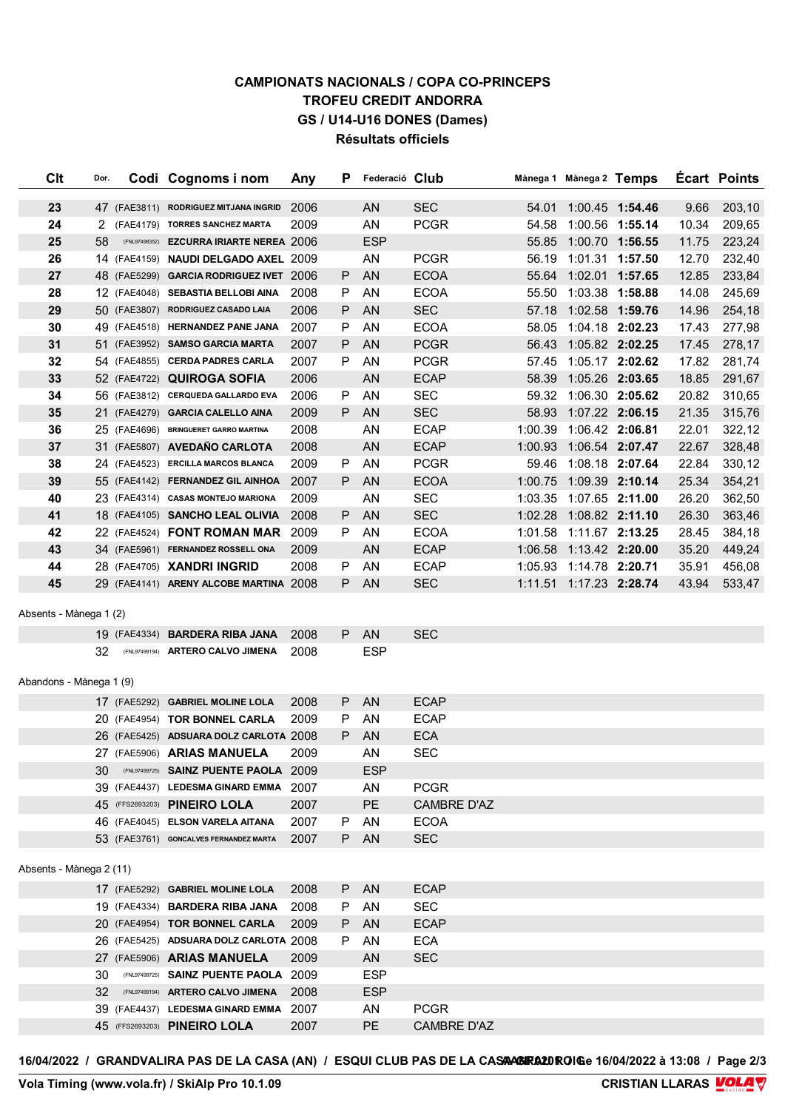#### **CAMPIONATS NACIONALS / COPA CO-PRINCEPS TROFEU CREDIT ANDORRA** GS / U14-U16 DONES (Dames) Résultats officiels

| Clt                     | Dor. | Codi Cognoms i nom                       | Any  | Р  | Federació Club |                    |         | Mànega 1 Mànega 2 Temps |                 |       | <b>Ecart Points</b> |
|-------------------------|------|------------------------------------------|------|----|----------------|--------------------|---------|-------------------------|-----------------|-------|---------------------|
| 23                      |      | 47 (FAE3811) RODRIGUEZ MITJANA INGRID    | 2006 |    | <b>AN</b>      | <b>SEC</b>         | 54.01   |                         | 1:00.45 1:54.46 | 9.66  | 203,10              |
| 24                      |      | 2 (FAE4179) TORRES SANCHEZ MARTA         | 2009 |    | AN             | <b>PCGR</b>        | 54.58   | 1:00.56 1:55.14         |                 | 10.34 | 209,65              |
| 25                      | 58   | (FNL97498352) EZCURRA IRIARTE NEREA 2006 |      |    | <b>ESP</b>     |                    |         | 55.85 1:00.70 1:56.55   |                 | 11.75 | 223,24              |
| 26                      |      | 14 (FAE4159) NAUDI DELGADO AXEL 2009     |      |    | AN             | <b>PCGR</b>        |         | 56.19 1:01.31 1:57.50   |                 | 12.70 | 232,40              |
| 27                      |      | 48 (FAE5299) GARCIA RODRIGUEZ IVET 2006  |      | P  | <b>AN</b>      | <b>ECOA</b>        |         | 55.64 1:02.01 1:57.65   |                 | 12.85 | 233,84              |
| 28                      |      | 12 (FAE4048) SEBASTIA BELLOBI AINA       | 2008 | P  | AN             | <b>ECOA</b>        |         | 55.50 1:03.38 1:58.88   |                 | 14.08 | 245,69              |
| 29                      |      | 50 (FAE3807) RODRIGUEZ CASADO LAIA       | 2006 | P  | <b>AN</b>      | <b>SEC</b>         |         | 57.18 1:02.58 1:59.76   |                 | 14.96 | 254,18              |
| 30                      |      | 49 (FAE4518) HERNANDEZ PANE JANA         | 2007 | Ρ  | AN             | <b>ECOA</b>        | 58.05   | 1:04.18 2:02.23         |                 | 17.43 | 277,98              |
| 31                      |      | 51 (FAE3952) SAMSO GARCIA MARTA          | 2007 | Ρ  | <b>AN</b>      | <b>PCGR</b>        |         | 56.43 1:05.82 2:02.25   |                 | 17.45 | 278,17              |
| 32                      |      | 54 (FAE4855) CERDA PADRES CARLA          | 2007 | P  | AN             | <b>PCGR</b>        | 57.45   | 1:05.17 2:02.62         |                 | 17.82 | 281,74              |
| 33                      |      | 52 (FAE4722) QUIROGA SOFIA               | 2006 |    | AN             | <b>ECAP</b>        | 58.39   | 1:05.26 2:03.65         |                 | 18.85 | 291,67              |
| 34                      |      | 56 (FAE3812) CERQUEDA GALLARDO EVA       | 2006 | P  | AN             | <b>SEC</b>         |         | 59.32 1:06.30 2:05.62   |                 | 20.82 | 310,65              |
| 35                      |      | 21 (FAE4279) GARCIA CALELLO AINA         | 2009 | P  | <b>AN</b>      | <b>SEC</b>         |         | 58.93 1:07.22 2:06.15   |                 | 21.35 | 315,76              |
| 36                      |      | 25 (FAE4696) BRINGUERET GARRO MARTINA    | 2008 |    | AN             | <b>ECAP</b>        | 1:00.39 | 1:06.42 2:06.81         |                 | 22.01 | 322,12              |
| 37                      |      | 31 (FAE5807) AVEDAÑO CARLOTA             | 2008 |    | <b>AN</b>      | <b>ECAP</b>        |         | 1:00.93 1:06.54 2:07.47 |                 | 22.67 | 328,48              |
| 38                      |      | 24 (FAE4523) ERCILLA MARCOS BLANCA       | 2009 | P  | AN             | <b>PCGR</b>        |         | 59.46 1:08.18 2:07.64   |                 | 22.84 | 330,12              |
| 39                      |      | 55 (FAE4142) FERNANDEZ GIL AINHOA        | 2007 | P  | <b>AN</b>      | <b>ECOA</b>        |         | 1:00.75 1:09.39 2:10.14 |                 | 25.34 | 354,21              |
| 40                      |      | 23 (FAE4314) CASAS MONTEJO MARIONA       | 2009 |    | AN             | <b>SEC</b>         |         | 1:03.35 1:07.65 2:11.00 |                 | 26.20 | 362,50              |
| 41                      |      | 18 (FAE4105) SANCHO LEAL OLIVIA          | 2008 | P. | <b>AN</b>      | <b>SEC</b>         |         | 1:02.28 1:08.82 2:11.10 |                 | 26.30 | 363,46              |
| 42                      |      | 22 (FAE4524) FONT ROMAN MAR              | 2009 | P  | AN             | <b>ECOA</b>        |         | 1:01.58 1:11.67 2:13.25 |                 | 28.45 | 384,18              |
| 43                      |      | 34 (FAE5961) FERNANDEZ ROSSELL ONA       | 2009 |    | <b>AN</b>      | <b>ECAP</b>        |         | 1:06.58 1:13.42 2:20.00 |                 | 35.20 | 449,24              |
| 44                      |      | 28 (FAE4705) XANDRI INGRID               | 2008 | P  | AN             | <b>ECAP</b>        |         | 1:05.93 1:14.78 2:20.71 |                 | 35.91 | 456,08              |
| 45                      |      | 29 (FAE4141) ARENY ALCOBE MARTINA 2008   |      | P  | <b>AN</b>      | <b>SEC</b>         |         | 1:11.51 1:17.23 2:28.74 |                 | 43.94 | 533,47              |
| Absents - Mànega 1 (2)  |      |                                          |      |    |                |                    |         |                         |                 |       |                     |
|                         |      | 19 (FAE4334) <b>BARDERA RIBA JANA</b>    | 2008 | P. | <b>AN</b>      | <b>SEC</b>         |         |                         |                 |       |                     |
|                         | 32   | (FNL97499194) ARTERO CALVO JIMENA        | 2008 |    | <b>ESP</b>     |                    |         |                         |                 |       |                     |
|                         |      |                                          |      |    |                |                    |         |                         |                 |       |                     |
| Abandons - Mànega 1 (9) |      |                                          |      |    |                |                    |         |                         |                 |       |                     |
|                         |      | 17 (FAE5292) GABRIEL MOLINE LOLA         | 2008 | P  | <b>AN</b>      | <b>ECAP</b>        |         |                         |                 |       |                     |
|                         |      | 20 (FAE4954) TOR BONNEL CARLA            | 2009 | Ρ  | AN             | <b>ECAP</b>        |         |                         |                 |       |                     |
|                         |      | 26 (FAE5425) ADSUARA DOLZ CARLOTA 2008   |      | P  | <b>AN</b>      | <b>ECA</b>         |         |                         |                 |       |                     |
|                         |      | 27 (FAE5906) ARIAS MANUELA               | 2009 |    | ΑN             | <b>SEC</b>         |         |                         |                 |       |                     |
|                         | 30.  | (FNL97499725) SAINZ PUENTE PAOLA 2009    |      |    | <b>ESP</b>     |                    |         |                         |                 |       |                     |
|                         |      | 39 (FAE4437) LEDESMA GINARD EMMA         | 2007 |    | AN             | <b>PCGR</b>        |         |                         |                 |       |                     |
|                         |      | 45 (FFS2693203) PINEIRO LOLA             | 2007 |    | PE             | <b>CAMBRE D'AZ</b> |         |                         |                 |       |                     |
|                         |      | 46 (FAE4045) ELSON VARELA AITANA         | 2007 | P  | AN             | <b>ECOA</b>        |         |                         |                 |       |                     |
|                         |      | 53 (FAE3761) GONCALVES FERNANDEZ MARTA   | 2007 | P. | AN             | <b>SEC</b>         |         |                         |                 |       |                     |
| Absents - Mànega 2 (11) |      |                                          |      |    |                |                    |         |                         |                 |       |                     |
|                         |      | 17 (FAE5292) GABRIEL MOLINE LOLA         | 2008 | P  | <b>AN</b>      | <b>ECAP</b>        |         |                         |                 |       |                     |
|                         |      | 19 (FAE4334) BARDERA RIBA JANA           | 2008 | P  | AN             | <b>SEC</b>         |         |                         |                 |       |                     |
|                         |      | 20 (FAE4954) TOR BONNEL CARLA            | 2009 | P  | AN             | <b>ECAP</b>        |         |                         |                 |       |                     |
|                         |      | 26 (FAE5425) ADSUARA DOLZ CARLOTA 2008   |      | P  | AN             | <b>ECA</b>         |         |                         |                 |       |                     |
|                         |      | 27 (FAE5906) ARIAS MANUELA               | 2009 |    | AN             | <b>SEC</b>         |         |                         |                 |       |                     |
|                         | 30   | (FNL97499725) SAINZ PUENTE PAOLA 2009    |      |    | <b>ESP</b>     |                    |         |                         |                 |       |                     |
|                         | 32   | (FNL97499194) ARTERO CALVO JIMENA        | 2008 |    | <b>ESP</b>     |                    |         |                         |                 |       |                     |
|                         |      | 39 (FAE4437) LEDESMA GINARD EMMA         | 2007 |    | AN             | <b>PCGR</b>        |         |                         |                 |       |                     |
|                         |      | 45 (FFS2693203) PINEIRO LOLA             | 2007 |    | PE             | <b>CAMBRE D'AZ</b> |         |                         |                 |       |                     |

16/04/2022 / GRANDVALIRA PAS DE LA CASA (AN) / ESQUI CLUB PAS DE LA CASAAGIRA2DROIGe 16/04/2022 à 13:08 / Page 2/3